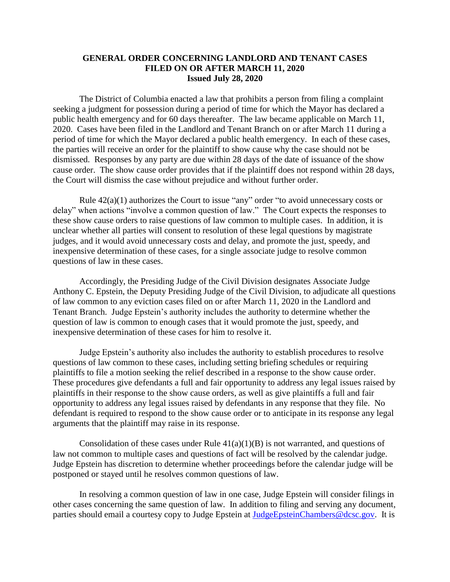## **GENERAL ORDER CONCERNING LANDLORD AND TENANT CASES FILED ON OR AFTER MARCH 11, 2020 Issued July 28, 2020**

The District of Columbia enacted a law that prohibits a person from filing a complaint seeking a judgment for possession during a period of time for which the Mayor has declared a public health emergency and for 60 days thereafter. The law became applicable on March 11, 2020. Cases have been filed in the Landlord and Tenant Branch on or after March 11 during a period of time for which the Mayor declared a public health emergency. In each of these cases, the parties will receive an order for the plaintiff to show cause why the case should not be dismissed. Responses by any party are due within 28 days of the date of issuance of the show cause order. The show cause order provides that if the plaintiff does not respond within 28 days, the Court will dismiss the case without prejudice and without further order.

Rule  $42(a)(1)$  authorizes the Court to issue "any" order "to avoid unnecessary costs or delay" when actions "involve a common question of law." The Court expects the responses to these show cause orders to raise questions of law common to multiple cases. In addition, it is unclear whether all parties will consent to resolution of these legal questions by magistrate judges, and it would avoid unnecessary costs and delay, and promote the just, speedy, and inexpensive determination of these cases, for a single associate judge to resolve common questions of law in these cases.

Accordingly, the Presiding Judge of the Civil Division designates Associate Judge Anthony C. Epstein, the Deputy Presiding Judge of the Civil Division, to adjudicate all questions of law common to any eviction cases filed on or after March 11, 2020 in the Landlord and Tenant Branch. Judge Epstein's authority includes the authority to determine whether the question of law is common to enough cases that it would promote the just, speedy, and inexpensive determination of these cases for him to resolve it.

Judge Epstein's authority also includes the authority to establish procedures to resolve questions of law common to these cases, including setting briefing schedules or requiring plaintiffs to file a motion seeking the relief described in a response to the show cause order. These procedures give defendants a full and fair opportunity to address any legal issues raised by plaintiffs in their response to the show cause orders, as well as give plaintiffs a full and fair opportunity to address any legal issues raised by defendants in any response that they file. No defendant is required to respond to the show cause order or to anticipate in its response any legal arguments that the plaintiff may raise in its response.

Consolidation of these cases under Rule  $41(a)(1)(B)$  is not warranted, and questions of law not common to multiple cases and questions of fact will be resolved by the calendar judge. Judge Epstein has discretion to determine whether proceedings before the calendar judge will be postponed or stayed until he resolves common questions of law.

In resolving a common question of law in one case, Judge Epstein will consider filings in other cases concerning the same question of law. In addition to filing and serving any document, parties should email a courtesy copy to Judge Epstein at [JudgeEpsteinChambers@dcsc.gov.](mailto:JudgeEpsteinChambers@dcsc.gov) It is